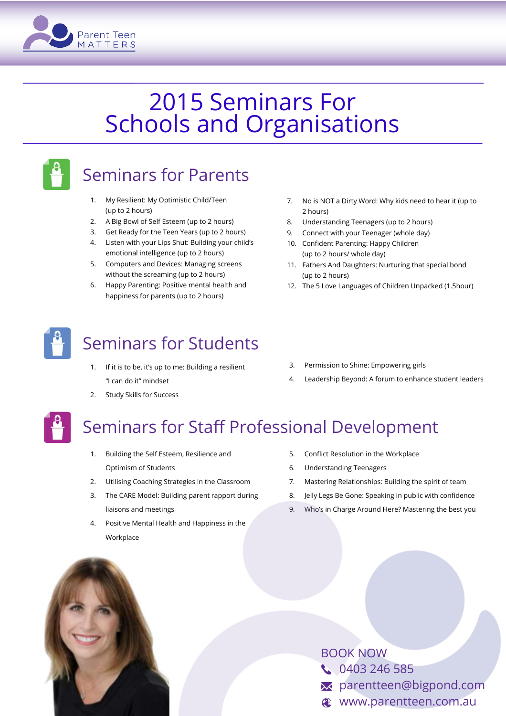

# 2015 Seminars For Schools and Organisations



## Seminars for Parents

- 1. My Resilient: My Optimistic Child/Teen (up to 2 hours)
- 2. A Big Bowl of Self Esteem (up to 2 hours)
- 3. Get Ready for the Teen Years (up to 2 hours)
- 4. Listen with your Lips Shut: Building your child's emotional intelligence (up to 2 hours)
- 5. Computers and Devices: Managing screens without the screaming (up to 2 hours)
- 6. Happy Parenting: Positive mental health and happiness for parents (up to 2 hours)
- 7. No is NOT a Dirty Word: Why kids need to hear it (up to 2 hours)
- 8. Understanding Teenagers (up to 2 hours)
- 9. Connect with your Teenager (whole day)
- 10. Confident Parenting: Happy Children (up to 2 hours/ whole day)
- 11. Fathers And Daughters: Nurturing that special bond (up to 2 hours)
- 12. The 5 Love Languages of Children Unpacked (1.5hour)



### Seminars for Students

- 1. If it is to be, it's up to me: Building a resilient "I can do it" mindset
- 2. Study Skills for Success
- 3. Permission to Shine: Empowering girls
- 4. Leadership Beyond: A forum to enhance student leaders

## Seminars for Staff Professional Development

- 1. Building the Self Esteem, Resilience and Optimism of Students
- 2. Utilising Coaching Strategies in the Classroom
- 3. The CARE Model: Building parent rapport during liaisons and meetings
- 4. Positive Mental Health and Happiness in the Workplace
- 5. Conflict Resolution in the Workplace
- 6. Understanding Teenagers
- 7. Mastering Relationships: Building the spirit of team
- 8. Jelly Legs Be Gone: Speaking in public with confidence
- 9. Who's in Charge Around Here? Mastering the best you



BOOK NOW

- 0403 246 585
- **X** parentteen@bigpond.com
- www.parentteen.com.au